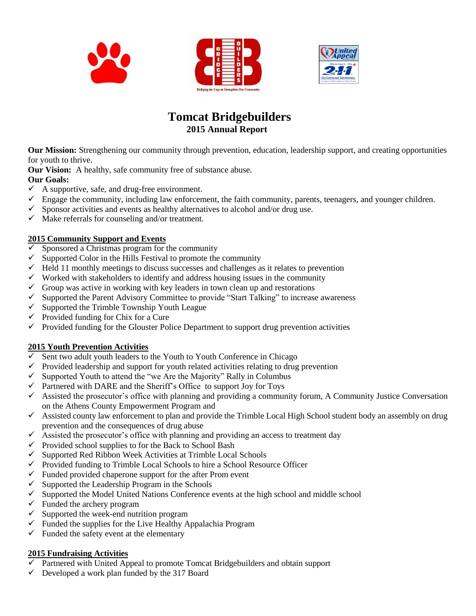



## **Tomcat Bridgebuilders 2015 Annual Report**

**Our Mission:** Strengthening our community through prevention, education, leadership support, and creating opportunities for youth to thrive.

**Our Vision:** A healthy, safe community free of substance abuse.

#### **Our Goals:**

- $\checkmark$  A supportive, safe, and drug-free environment.
- $\checkmark$  Engage the community, including law enforcement, the faith community, parents, teenagers, and younger children.
- $\checkmark$  Sponsor activities and events as healthy alternatives to alcohol and/or drug use.
- $\checkmark$  Make referrals for counseling and/or treatment.

#### **2015 Community Support and Events**

- Sponsored a Christmas program for the community
- $\checkmark$  Supported Color in the Hills Festival to promote the community
- $\checkmark$  Held 11 monthly meetings to discuss successes and challenges as it relates to prevention
- $\checkmark$  Worked with stakeholders to identify and address housing issues in the community
- $\checkmark$  Group was active in working with key leaders in town clean up and restorations
- $\checkmark$  Supported the Parent Advisory Committee to provide "Start Talking" to increase awareness
- $\checkmark$  Supported the Trimble Township Youth League
- $\checkmark$  Provided funding for Chix for a Cure
- $\checkmark$  Provided funding for the Glouster Police Department to support drug prevention activities

#### **2015 Youth Prevention Activities**

- $\checkmark$  Sent two adult youth leaders to the Youth to Youth Conference in Chicago
- $\checkmark$  Provided leadership and support for youth related activities relating to drug prevention
- $\checkmark$  Supported Youth to attend the "we Are the Majority" Rally in Columbus
- $\checkmark$  Partnered with DARE and the Sheriff's Office to support Joy for Toys
- $\checkmark$  Assisted the prosecutor's office with planning and providing a community forum, A Community Justice Conversation on the Athens County Empowerment Program and
- $\checkmark$  Assisted county law enforcement to plan and provide the Trimble Local High School student body an assembly on drug prevention and the consequences of drug abuse
- $\checkmark$  Assisted the prosecutor's office with planning and providing an access to treatment day
- $\checkmark$  Provided school supplies to for the Back to School Bash
- $\checkmark$  Supported Red Ribbon Week Activities at Trimble Local Schools
- $\checkmark$  Provided funding to Trimble Local Schools to hire a School Resource Officer
- $\checkmark$  Funded provided chaperone support for the after Prom event  $\checkmark$  Supported the Leadership Program in the Schools
- Supported the Leadership Program in the Schools
- $\checkmark$  Supported the Model United Nations Conference events at the high school and middle school
- $\checkmark$  Funded the archery program
- $\checkmark$  Supported the week-end nutrition program
- $\checkmark$  Funded the supplies for the Live Healthy Appalachia Program
- $\checkmark$  Funded the safety event at the elementary

#### **2015 Fundraising Activities**

- $\checkmark$  Partnered with United Appeal to promote Tomcat Bridgebuilders and obtain support
- $\checkmark$  Developed a work plan funded by the 317 Board